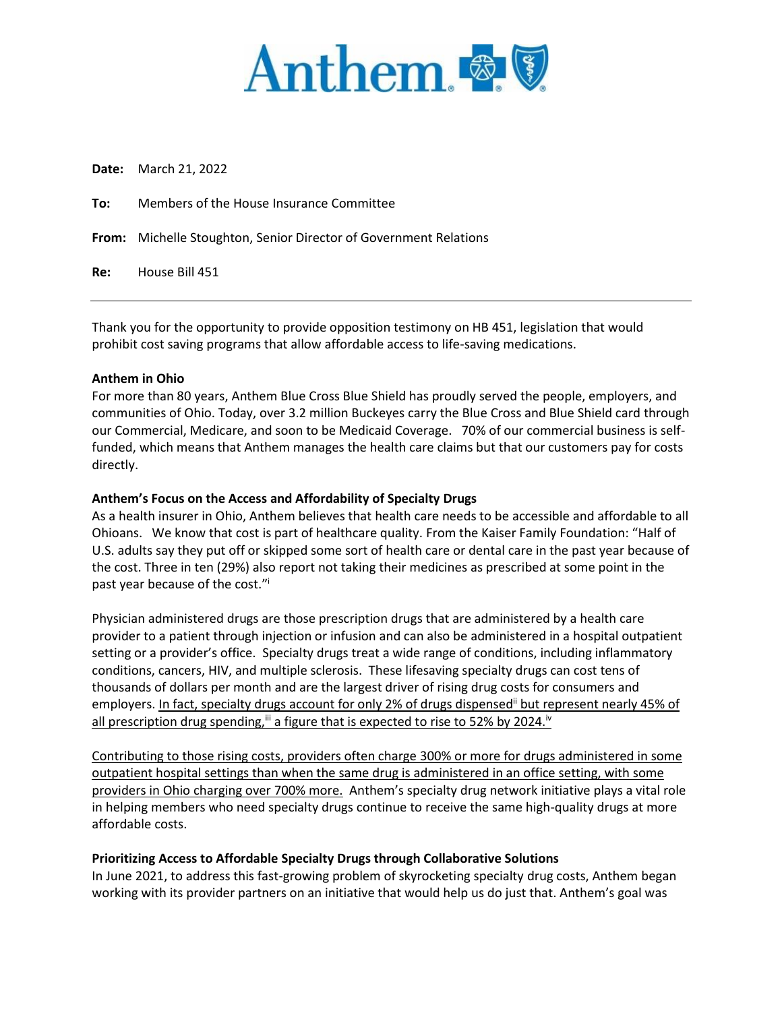

**Date:** March 21, 2022

**To:** Members of the House Insurance Committee

**From:** Michelle Stoughton, Senior Director of Government Relations

**Re:** House Bill 451

Thank you for the opportunity to provide opposition testimony on HB 451, legislation that would prohibit cost saving programs that allow affordable access to life-saving medications.

## **Anthem in Ohio**

For more than 80 years, Anthem Blue Cross Blue Shield has proudly served the people, employers, and communities of Ohio. Today, over 3.2 million Buckeyes carry the Blue Cross and Blue Shield card through our Commercial, Medicare, and soon to be Medicaid Coverage. 70% of our commercial business is selffunded, which means that Anthem manages the health care claims but that our customers pay for costs directly.

## **Anthem's Focus on the Access and Affordability of Specialty Drugs**

As a health insurer in Ohio, Anthem believes that health care needs to be accessible and affordable to all Ohioans. We know that cost is part of healthcare quality. From the Kaiser Family Foundation: "Half of U.S. adults say they put off or skipped some sort of health care or dental care in the past year because of the cost. Three in ten (29%) also report not taking their medicines as prescribed at some point in the past year because of the cost."<sup>i</sup>

Physician administered drugs are those prescription drugs that are administered by a health care provider to a patient through injection or infusion and can also be administered in a hospital outpatient setting or a provider's office. Specialty drugs treat a wide range of conditions, including inflammatory conditions, cancers, HIV, and multiple sclerosis. These lifesaving specialty drugs can cost tens of thousands of dollars per month and are the largest driver of rising drug costs for consumers and employers. In fact, specialty drugs account for only 2% of drugs dispensed" but represent nearly 45% of all prescription drug spending,<sup>iii</sup> a figure that is expected to rise to 52% by 2024.<sup>iv</sup>

Contributing to those rising costs, providers often charge 300% or more for drugs administered in some outpatient hospital settings than when the same drug is administered in an office setting, with some providers in Ohio charging over 700% more. Anthem's specialty drug network initiative plays a vital role in helping members who need specialty drugs continue to receive the same high-quality drugs at more affordable costs.

# **Prioritizing Access to Affordable Specialty Drugs through Collaborative Solutions**

In June 2021, to address this fast-growing problem of skyrocketing specialty drug costs, Anthem began working with its provider partners on an initiative that would help us do just that. Anthem's goal was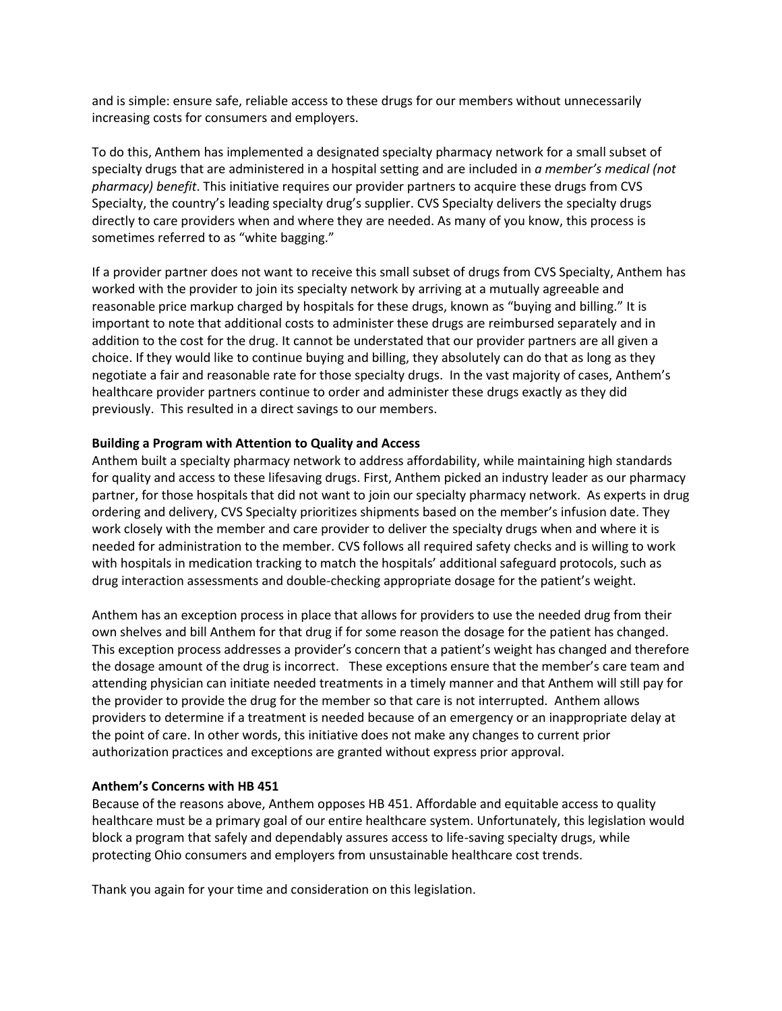and is simple: ensure safe, reliable access to these drugs for our members without unnecessarily increasing costs for consumers and employers.

To do this, Anthem has implemented a designated specialty pharmacy network for a small subset of specialty drugs that are administered in a hospital setting and are included in *a member's medical (not pharmacy) benefit*. This initiative requires our provider partners to acquire these drugs from CVS Specialty, the country's leading specialty drug's supplier. CVS Specialty delivers the specialty drugs directly to care providers when and where they are needed. As many of you know, this process is sometimes referred to as "white bagging."

If a provider partner does not want to receive this small subset of drugs from CVS Specialty, Anthem has worked with the provider to join its specialty network by arriving at a mutually agreeable and reasonable price markup charged by hospitals for these drugs, known as "buying and billing." It is important to note that additional costs to administer these drugs are reimbursed separately and in addition to the cost for the drug. It cannot be understated that our provider partners are all given a choice. If they would like to continue buying and billing, they absolutely can do that as long as they negotiate a fair and reasonable rate for those specialty drugs. In the vast majority of cases, Anthem's healthcare provider partners continue to order and administer these drugs exactly as they did previously. This resulted in a direct savings to our members.

#### **Building a Program with Attention to Quality and Access**

Anthem built a specialty pharmacy network to address affordability, while maintaining high standards for quality and access to these lifesaving drugs. First, Anthem picked an industry leader as our pharmacy partner, for those hospitals that did not want to join our specialty pharmacy network. As experts in drug ordering and delivery, CVS Specialty prioritizes shipments based on the member's infusion date. They work closely with the member and care provider to deliver the specialty drugs when and where it is needed for administration to the member. CVS follows all required safety checks and is willing to work with hospitals in medication tracking to match the hospitals' additional safeguard protocols, such as drug interaction assessments and double-checking appropriate dosage for the patient's weight.

Anthem has an exception process in place that allows for providers to use the needed drug from their own shelves and bill Anthem for that drug if for some reason the dosage for the patient has changed. This exception process addresses a provider's concern that a patient's weight has changed and therefore the dosage amount of the drug is incorrect. These exceptions ensure that the member's care team and attending physician can initiate needed treatments in a timely manner and that Anthem will still pay for the provider to provide the drug for the member so that care is not interrupted. Anthem allows providers to determine if a treatment is needed because of an emergency or an inappropriate delay at the point of care. In other words, this initiative does not make any changes to current prior authorization practices and exceptions are granted without express prior approval.

## **Anthem's Concerns with HB 451**

Because of the reasons above, Anthem opposes HB 451. Affordable and equitable access to quality healthcare must be a primary goal of our entire healthcare system. Unfortunately, this legislation would block a program that safely and dependably assures access to life-saving specialty drugs, while protecting Ohio consumers and employers from unsustainable healthcare cost trends.

Thank you again for your time and consideration on this legislation.